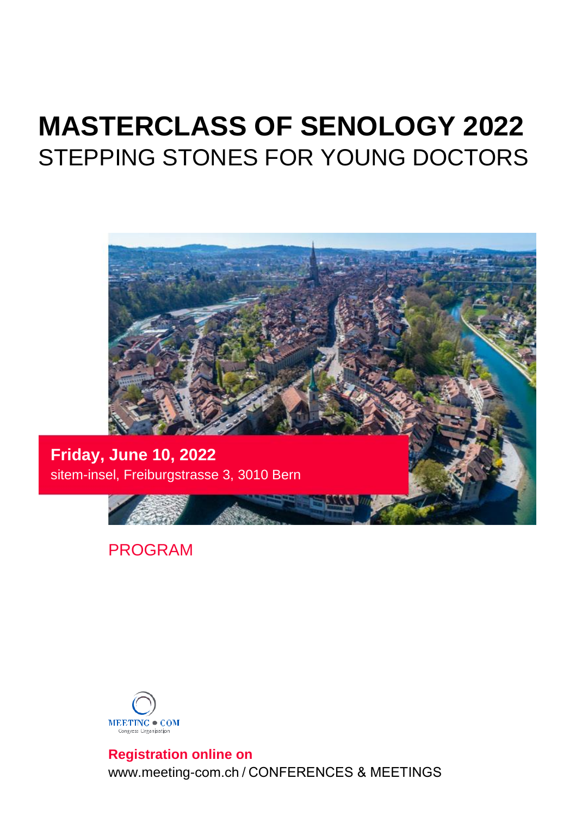# **MASTERCLASS OF SENOLOGY 2022** STEPPING STONES FOR YOUNG DOCTORS



PROGRAM



**Registration online on** www.meeting-com.ch / CONFERENCES & MEETINGS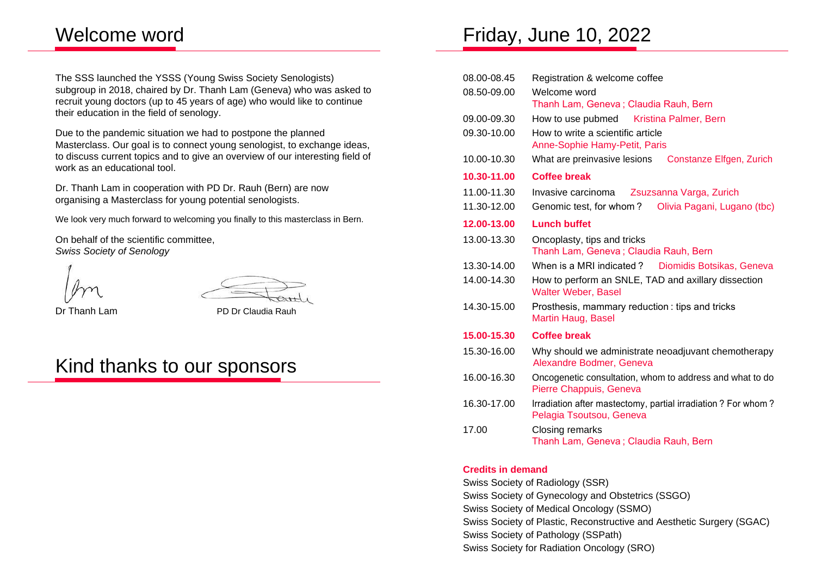## Welcome word

The SSS launched the YSSS (Young Swiss Society Senologists) subgroup in 2018, chaired by Dr. Thanh Lam (Geneva) who was asked to recruit young doctors (up to 45 years of age) who would like to continue their education in the field of senology.

Due to the pandemic situation we had to postpone the planned Masterclass. Our goal is to connect young senologist, to exchange ideas, to discuss current topics and to give an overview of our interesting field of work as an educational tool.

Dr. Thanh Lam in cooperation with PD Dr. Rauh (Bern) are now organising a Masterclass for young potential senologists.

We look very much forward to welcoming you finally to this masterclass in Bern.

On behalf of the scientific committee, *Swiss Society of Senology*



Dr Thanh Lam PD Dr Claudia Rauh

# Kind thanks to our sponsors

# Friday, June 10, 2022

| 08.00-08.45 | Registration & welcome coffee                                                            |  |  |
|-------------|------------------------------------------------------------------------------------------|--|--|
| 08.50-09.00 | Welcome word                                                                             |  |  |
|             | Thanh Lam, Geneva; Claudia Rauh, Bern                                                    |  |  |
| 09.00-09.30 | How to use pubmed Kristina Palmer, Bern                                                  |  |  |
| 09.30-10.00 | How to write a scientific article<br>Anne-Sophie Hamy-Petit, Paris                       |  |  |
| 10.00-10.30 | What are preinvasive lesions<br>Constanze Elfgen, Zurich                                 |  |  |
| 10.30-11.00 | <b>Coffee break</b>                                                                      |  |  |
| 11.00-11.30 | Invasive carcinoma<br>Zsuzsanna Varga, Zurich                                            |  |  |
| 11.30-12.00 | Genomic test, for whom?<br>Olivia Pagani, Lugano (tbc)                                   |  |  |
| 12.00-13.00 | <b>Lunch buffet</b>                                                                      |  |  |
| 13.00-13.30 | Oncoplasty, tips and tricks<br>Thanh Lam, Geneva; Claudia Rauh, Bern                     |  |  |
| 13.30-14.00 | When is a MRI indicated? Diomidis Botsikas, Geneva                                       |  |  |
| 14.00-14.30 | How to perform an SNLE, TAD and axillary dissection<br>Walter Weber, Basel               |  |  |
| 14.30-15.00 | Prosthesis, mammary reduction: tips and tricks<br>Martin Haug, Basel                     |  |  |
| 15.00-15.30 | <b>Coffee break</b>                                                                      |  |  |
| 15.30-16.00 | Why should we administrate neoadjuvant chemotherapy<br>Alexandre Bodmer, Geneva          |  |  |
| 16.00-16.30 | Oncogenetic consultation, whom to address and what to do<br>Pierre Chappuis, Geneva      |  |  |
| 16.30-17.00 | Irradiation after mastectomy, partial irradiation? For whom?<br>Pelagia Tsoutsou, Geneva |  |  |
| 17.00       | Closing remarks<br>Thanh Lam, Geneva; Claudia Rauh, Bern                                 |  |  |

## **Credits in demand**

Swiss Society of Radiology (SSR) Swiss Society of Gynecology and Obstetrics (SSGO) Swiss Society of Medical Oncology (SSMO) Swiss Society of Plastic, Reconstructive and Aesthetic Surgery (SGAC) Swiss Society of Pathology (SSPath) Swiss Society for Radiation Oncology (SRO)